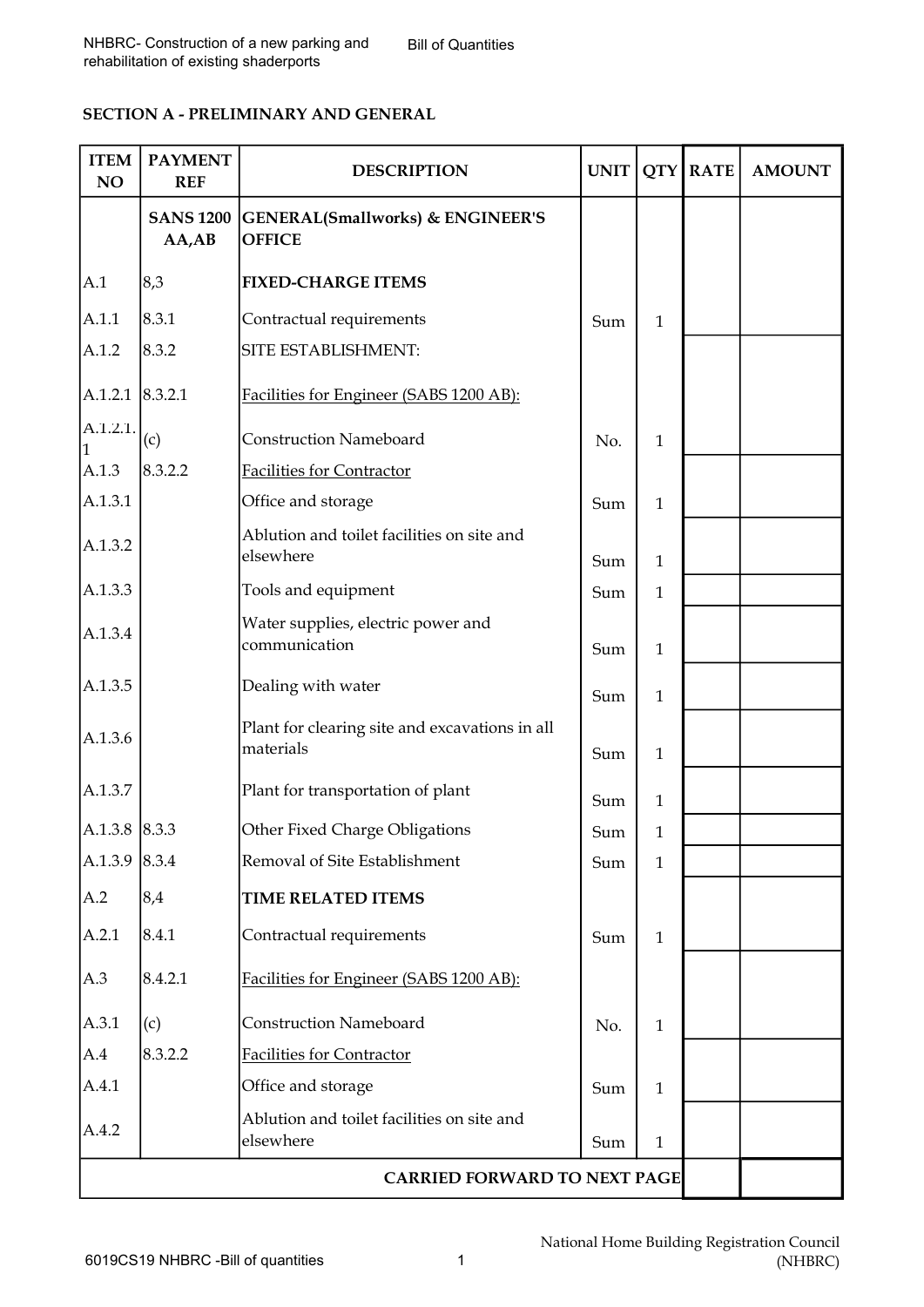# SECTION A - PRELIMINARY AND GENERAL

| <b>ITEM</b><br>NO                   | <b>PAYMENT</b><br><b>REF</b> | <b>DESCRIPTION</b>                                                      | <b>UNIT</b> |              | QTY RATE | <b>AMOUNT</b> |
|-------------------------------------|------------------------------|-------------------------------------------------------------------------|-------------|--------------|----------|---------------|
|                                     | $AA$ , $AB$                  | <b>SANS 1200 GENERAL (Smallworks) &amp; ENGINEER'S</b><br><b>OFFICE</b> |             |              |          |               |
| A.1                                 | 8,3                          | <b>FIXED-CHARGE ITEMS</b>                                               |             |              |          |               |
| A.1.1                               | 8.3.1                        | Contractual requirements                                                | Sum         | $\mathbf{1}$ |          |               |
| A.1.2                               | 8.3.2                        | SITE ESTABLISHMENT:                                                     |             |              |          |               |
| $A.1.2.1$ 8.3.2.1                   |                              | Facilities for Engineer (SABS 1200 AB):                                 |             |              |          |               |
| A.1.2.1.                            | (c)                          | <b>Construction Nameboard</b>                                           | No.         | $\mathbf{1}$ |          |               |
| A.1.3                               | 8.3.2.2                      | Facilities for Contractor                                               |             |              |          |               |
| A.1.3.1                             |                              | Office and storage                                                      | Sum         | $\mathbf{1}$ |          |               |
| A.1.3.2                             |                              | Ablution and toilet facilities on site and<br>elsewhere                 | Sum         | $\mathbf{1}$ |          |               |
| A.1.3.3                             |                              | Tools and equipment                                                     | Sum         | $\mathbf{1}$ |          |               |
| A.1.3.4                             |                              | Water supplies, electric power and<br>communication                     | Sum         | $\mathbf{1}$ |          |               |
| A.1.3.5                             |                              | Dealing with water                                                      | Sum         | $\mathbf{1}$ |          |               |
| A.1.3.6                             |                              | Plant for clearing site and excavations in all<br>materials             | Sum         | $\mathbf{1}$ |          |               |
| A.1.3.7                             |                              | Plant for transportation of plant                                       | Sum         | $\mathbf{1}$ |          |               |
| $A.1.3.8$ 8.3.3                     |                              | Other Fixed Charge Obligations                                          | Sum         | $\mathbf{1}$ |          |               |
| A.1.3.9 $ 8.3.4 $                   |                              | Removal of Site Establishment                                           | Sum         | $\mathbf{1}$ |          |               |
| A.2                                 | 8,4                          | <b>TIME RELATED ITEMS</b>                                               |             |              |          |               |
| A.2.1                               | 8.4.1                        | Contractual requirements                                                | Sum         | $\mathbf{1}$ |          |               |
| A.3                                 | 8.4.2.1                      | Facilities for Engineer (SABS 1200 AB):                                 |             |              |          |               |
| A.3.1                               | (c)                          | <b>Construction Nameboard</b>                                           | No.         | $\mathbf{1}$ |          |               |
| A.4                                 | 8.3.2.2                      | Facilities for Contractor                                               |             |              |          |               |
| A.4.1                               |                              | Office and storage                                                      | Sum         | $\mathbf{1}$ |          |               |
| A.4.2                               |                              | Ablution and toilet facilities on site and<br>elsewhere                 | Sum         | $\mathbf{1}$ |          |               |
| <b>CARRIED FORWARD TO NEXT PAGE</b> |                              |                                                                         |             |              |          |               |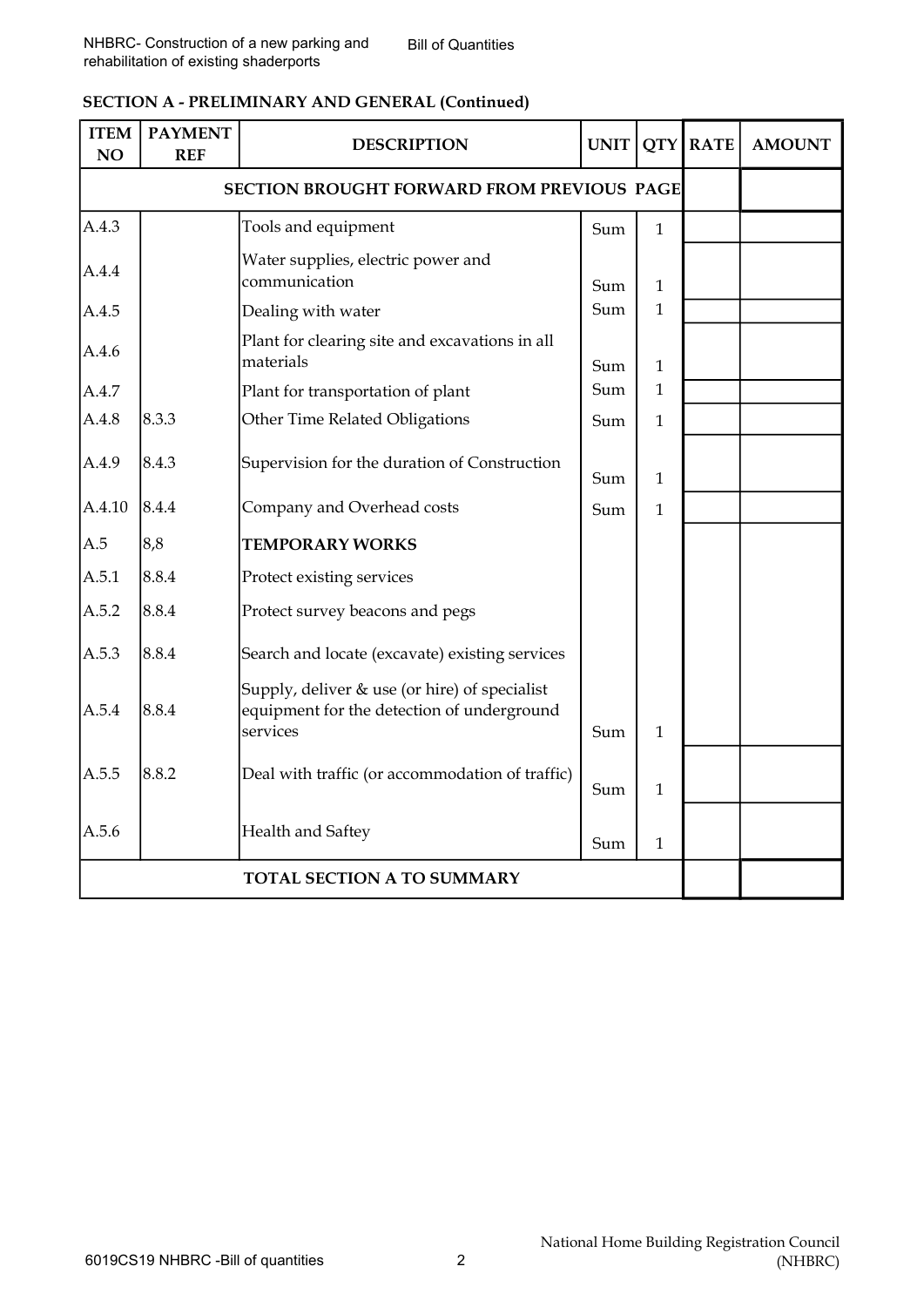## SECTION A - PRELIMINARY AND GENERAL (Continued)

| <b>ITEM</b><br>NO | <b>PAYMENT</b><br><b>REF</b> | <b>DESCRIPTION</b>                                                                                      | <b>UNIT</b> |              | <b>QTY RATE</b> | <b>AMOUNT</b> |
|-------------------|------------------------------|---------------------------------------------------------------------------------------------------------|-------------|--------------|-----------------|---------------|
|                   |                              |                                                                                                         |             |              |                 |               |
| A.4.3             |                              | Tools and equipment                                                                                     | Sum         | $\mathbf{1}$ |                 |               |
| A.4.4             |                              | Water supplies, electric power and<br>communication                                                     | Sum         | $\mathbf{1}$ |                 |               |
| A.4.5             |                              | Dealing with water                                                                                      | Sum         | $\mathbf{1}$ |                 |               |
| A.4.6             |                              | Plant for clearing site and excavations in all<br>materials                                             | Sum         | $\mathbf{1}$ |                 |               |
| A.4.7             |                              | Plant for transportation of plant                                                                       | Sum         | $\mathbf{1}$ |                 |               |
| A.4.8             | 8.3.3                        | Other Time Related Obligations                                                                          | Sum         | $\mathbf{1}$ |                 |               |
| A.4.9             | 8.4.3                        | Supervision for the duration of Construction                                                            | Sum         | $\mathbf{1}$ |                 |               |
| A.4.10            | 8.4.4                        | Company and Overhead costs                                                                              | Sum         | $\mathbf{1}$ |                 |               |
| A.5               | 8,8                          | <b>TEMPORARY WORKS</b>                                                                                  |             |              |                 |               |
| A.5.1             | 8.8.4                        | Protect existing services                                                                               |             |              |                 |               |
| A.5.2             | 8.8.4                        | Protect survey beacons and pegs                                                                         |             |              |                 |               |
| A.5.3             | 8.8.4                        | Search and locate (excavate) existing services                                                          |             |              |                 |               |
| A.5.4             | 8.8.4                        | Supply, deliver & use (or hire) of specialist<br>equipment for the detection of underground<br>services | Sum         | $\mathbf{1}$ |                 |               |
| A.5.5             | 8.8.2                        | Deal with traffic (or accommodation of traffic)                                                         | Sum         | $\mathbf{1}$ |                 |               |
| A.5.6             |                              | Health and Saftey                                                                                       | Sum         | 1            |                 |               |
|                   | TOTAL SECTION A TO SUMMARY   |                                                                                                         |             |              |                 |               |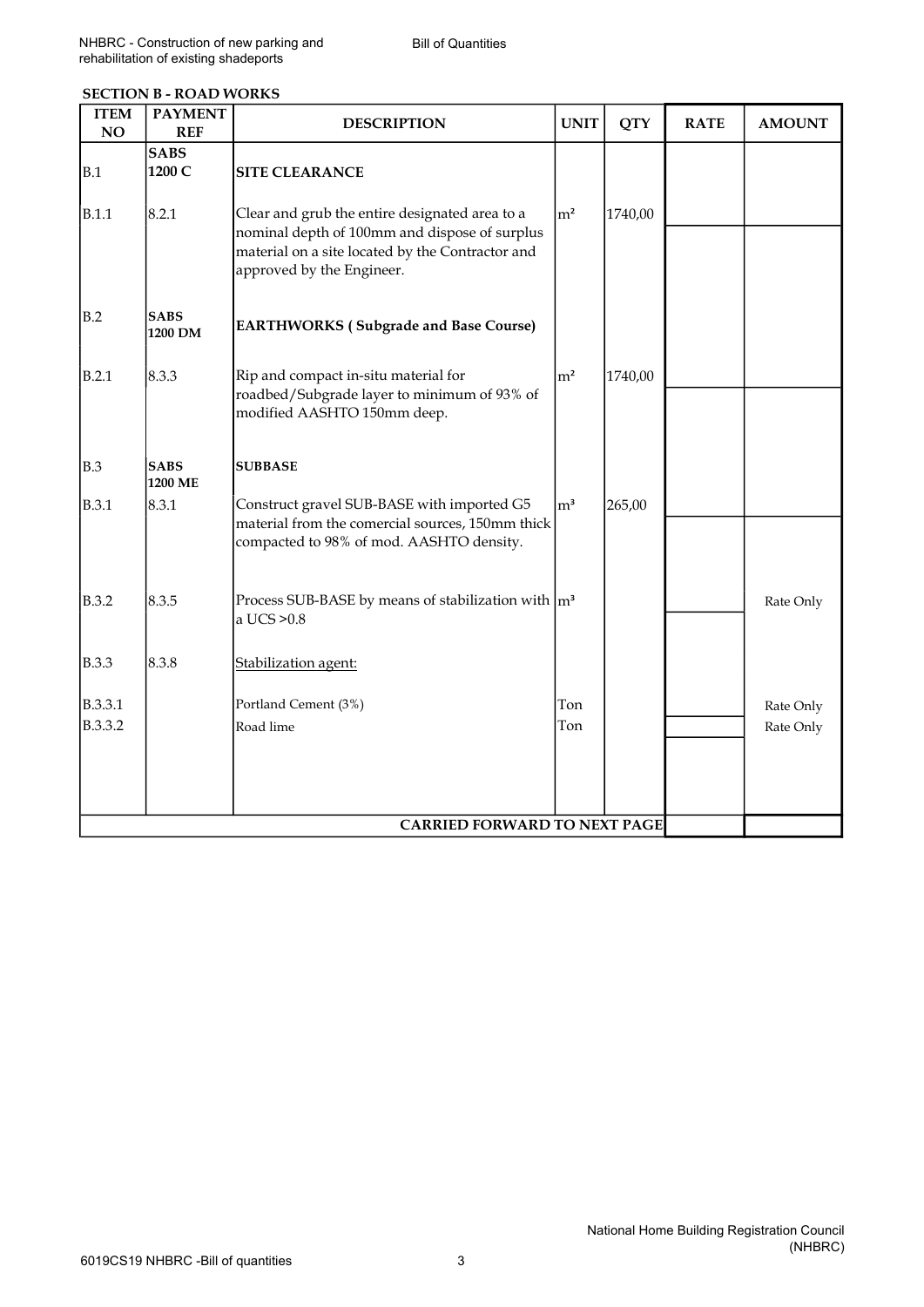| <b>SECTION B - ROAD WORKS</b> |
|-------------------------------|
|-------------------------------|

| <b>ITEM</b><br>NO  | <b>PAYMENT</b><br><b>REF</b>   | <b>DESCRIPTION</b>                                                                                                                                                           | <b>UNIT</b> | <b>QTY</b> | <b>RATE</b> | <b>AMOUNT</b>          |
|--------------------|--------------------------------|------------------------------------------------------------------------------------------------------------------------------------------------------------------------------|-------------|------------|-------------|------------------------|
| B.1<br>B.1.1       | <b>SABS</b><br>1200 C<br>8.2.1 | <b>SITE CLEARANCE</b><br>Clear and grub the entire designated area to a<br>nominal depth of 100mm and dispose of surplus<br>material on a site located by the Contractor and | $\rm{Im}^2$ | 1740,00    |             |                        |
| B.2                | <b>SABS</b><br>1200 DM         | approved by the Engineer.<br><b>EARTHWORKS (Subgrade and Base Course)</b>                                                                                                    |             |            |             |                        |
| B.2.1              | 8.3.3                          | Rip and compact in-situ material for<br>roadbed/Subgrade layer to minimum of 93% of<br>modified AASHTO 150mm deep.                                                           | $\rm  m^2$  | 1740,00    |             |                        |
| <b>B.3</b>         | <b>SABS</b><br>1200 ME         | <b>SUBBASE</b>                                                                                                                                                               |             |            |             |                        |
| <b>B.3.1</b>       | 8.3.1                          | Construct gravel SUB-BASE with imported G5<br>material from the comercial sources, 150mm thick<br>compacted to 98% of mod. AASHTO density.                                   | $\rm{Im}^3$ | 265,00     |             |                        |
| <b>B.3.2</b>       | 8.3.5                          | Process SUB-BASE by means of stabilization with $\vert m^3 \vert$<br>a UCS > 0.8                                                                                             |             |            |             | Rate Only              |
| <b>B.3.3</b>       | 8.3.8                          | Stabilization agent:                                                                                                                                                         |             |            |             |                        |
| B.3.3.1<br>B.3.3.2 |                                | Portland Cement (3%)<br>Road lime                                                                                                                                            | Ton<br>Ton  |            |             | Rate Only<br>Rate Only |
|                    |                                | <b>CARRIED FORWARD TO NEXT PAGE</b>                                                                                                                                          |             |            |             |                        |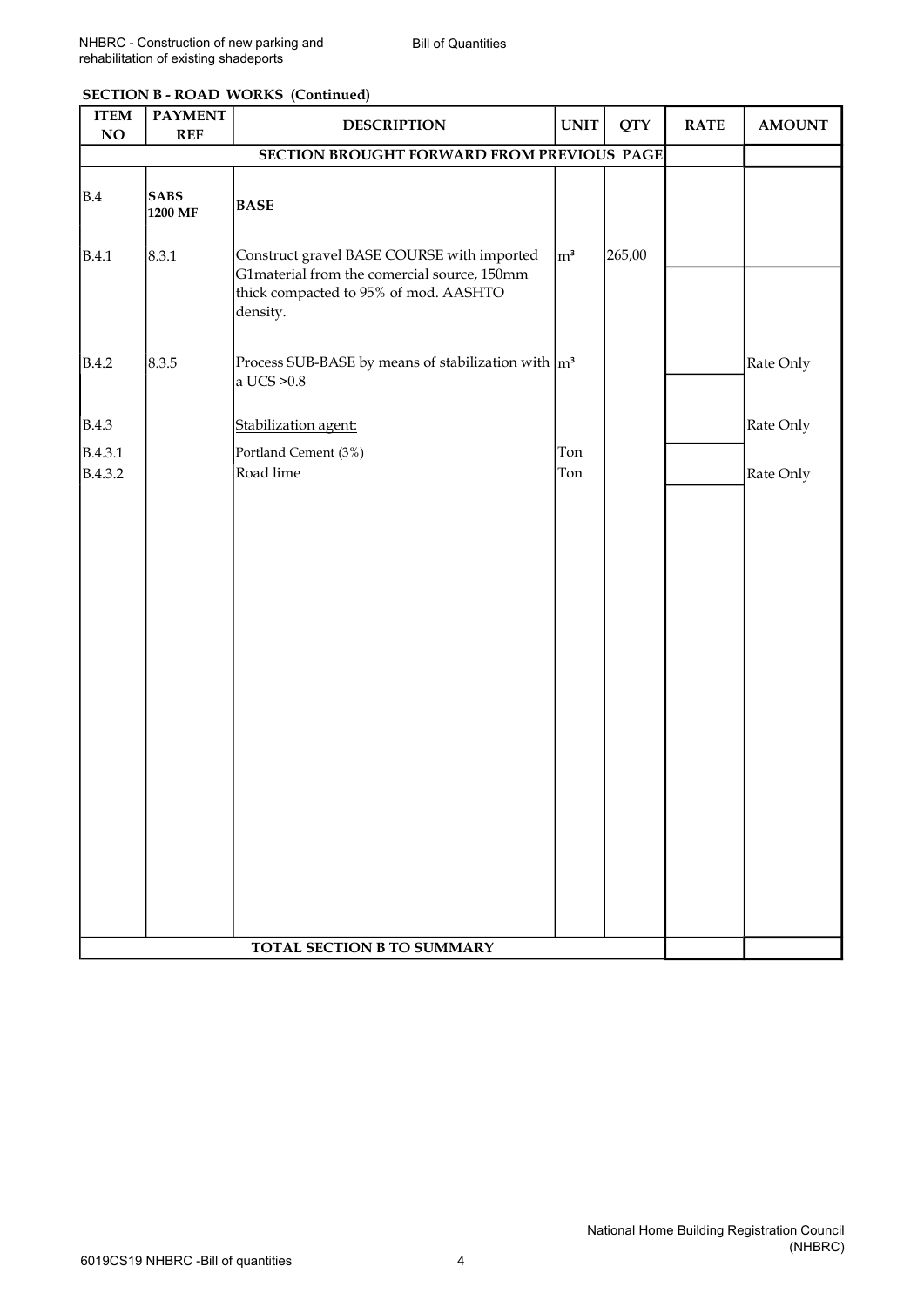| <b>SECTION B - ROAD WORKS (Continued)</b> |  |  |
|-------------------------------------------|--|--|
|-------------------------------------------|--|--|

| <b>ITEM</b><br>NO                          | <b>PAYMENT</b><br><b>REF</b> | <b>DESCRIPTION</b>                                                                                                                             | <b>UNIT</b> | <b>QTY</b> | <b>RATE</b> | <b>AMOUNT</b> |
|--------------------------------------------|------------------------------|------------------------------------------------------------------------------------------------------------------------------------------------|-------------|------------|-------------|---------------|
| SECTION BROUGHT FORWARD FROM PREVIOUS PAGE |                              |                                                                                                                                                |             |            |             |               |
| B.4                                        | <b>SABS</b><br>1200 MF       | <b>BASE</b>                                                                                                                                    |             |            |             |               |
| B.4.1                                      | 8.3.1                        | Construct gravel BASE COURSE with imported<br>G1material from the comercial source, 150mm<br>thick compacted to 95% of mod. AASHTO<br>density. | $\rm{m}^3$  | 265,00     |             |               |
| B.4.2                                      | 8.3.5                        | Process SUB-BASE by means of stabilization with $\vert m^3 \vert$<br>a UCS > 0.8                                                               |             |            |             | Rate Only     |
| B.4.3                                      |                              | Stabilization agent:                                                                                                                           |             |            |             | Rate Only     |
| B.4.3.1                                    |                              | Portland Cement (3%)                                                                                                                           | Ton         |            |             |               |
| B.4.3.2                                    |                              | Road lime                                                                                                                                      | Ton         |            |             | Rate Only     |
|                                            |                              |                                                                                                                                                |             |            |             |               |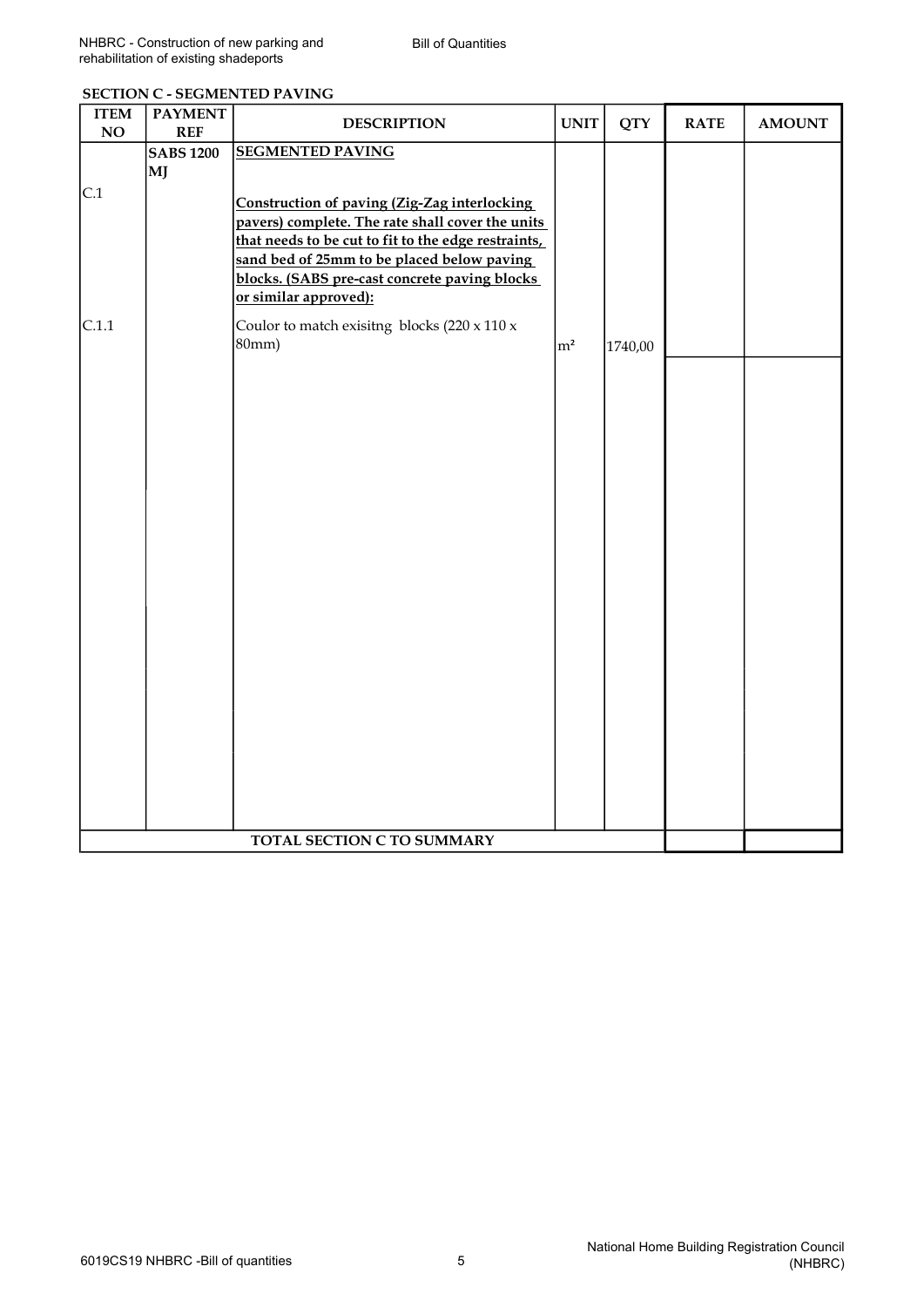| <b>ITEM</b><br>NO | <b>PAYMENT</b><br><b>REF</b> | <b>DESCRIPTION</b>                                                                                                                                                                                                                                                              | <b>UNIT</b>    | <b>QTY</b> | <b>RATE</b> | <b>AMOUNT</b> |
|-------------------|------------------------------|---------------------------------------------------------------------------------------------------------------------------------------------------------------------------------------------------------------------------------------------------------------------------------|----------------|------------|-------------|---------------|
|                   | <b>SABS 1200</b>             | <b>SEGMENTED PAVING</b>                                                                                                                                                                                                                                                         |                |            |             |               |
|                   | MJ                           |                                                                                                                                                                                                                                                                                 |                |            |             |               |
| C.1               |                              | Construction of paving (Zig-Zag interlocking<br>pavers) complete. The rate shall cover the units<br>that needs to be cut to fit to the edge restraints,<br>sand bed of 25mm to be placed below paving<br>blocks. (SABS pre-cast concrete paving blocks<br>or similar approved): |                |            |             |               |
| C.1.1             |                              | Coulor to match exisitng blocks $(220 \times 110 \times$<br>80mm)                                                                                                                                                                                                               | m <sup>2</sup> | 1740,00    |             |               |
|                   |                              |                                                                                                                                                                                                                                                                                 |                |            |             |               |
|                   |                              | TOTAL SECTION C TO SUMMARY                                                                                                                                                                                                                                                      |                |            |             |               |

### SECTION C - SEGMENTED PAVING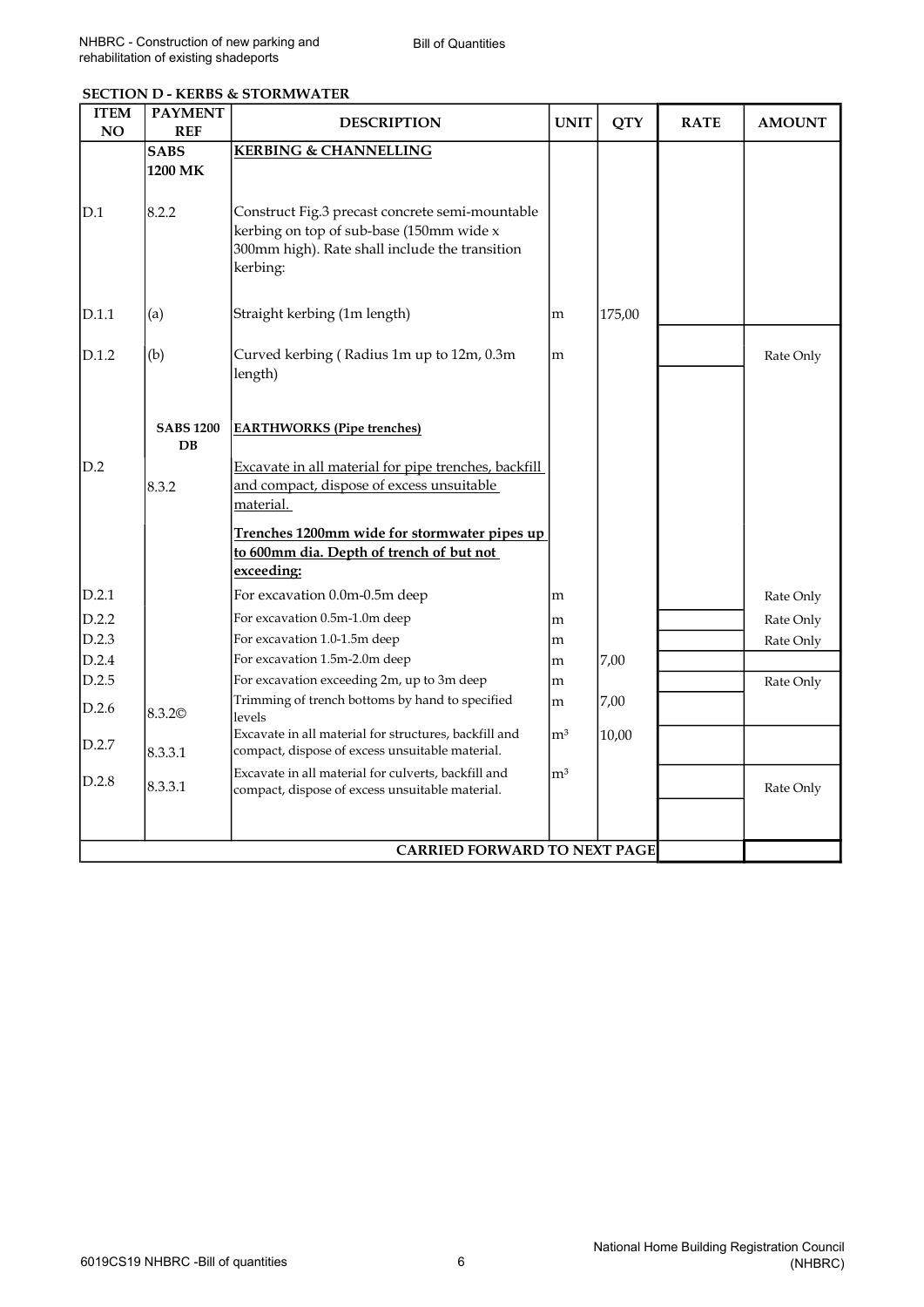| <b>ITEM</b><br>NO | <b>PAYMENT</b><br><b>REF</b> | <b>DESCRIPTION</b>                                                                                                                                        | <b>UNIT</b>    | <b>QTY</b> | <b>RATE</b> | <b>AMOUNT</b> |
|-------------------|------------------------------|-----------------------------------------------------------------------------------------------------------------------------------------------------------|----------------|------------|-------------|---------------|
|                   | <b>SABS</b><br>1200 MK       | <b>KERBING &amp; CHANNELLING</b>                                                                                                                          |                |            |             |               |
| D.1               | 8.2.2                        | Construct Fig.3 precast concrete semi-mountable<br>kerbing on top of sub-base (150mm wide x<br>300mm high). Rate shall include the transition<br>kerbing: |                |            |             |               |
| D.1.1             | (a)                          | Straight kerbing (1m length)                                                                                                                              | m              | 175,00     |             |               |
| D.1.2             | (b)                          | Curved kerbing (Radius 1m up to 12m, 0.3m<br>length)                                                                                                      | m              |            |             | Rate Only     |
|                   | <b>SABS 1200</b><br>DB       | <b>EARTHWORKS</b> (Pipe trenches)                                                                                                                         |                |            |             |               |
| D.2               | 8.3.2                        | Excavate in all material for pipe trenches, backfill<br>and compact, dispose of excess unsuitable<br>material.                                            |                |            |             |               |
|                   |                              | Trenches 1200mm wide for stormwater pipes up<br>to 600mm dia. Depth of trench of but not<br>exceeding:                                                    |                |            |             |               |
| D.2.1             |                              | For excavation 0.0m-0.5m deep                                                                                                                             | m              |            |             | Rate Only     |
| D.2.2             |                              | For excavation 0.5m-1.0m deep                                                                                                                             | m              |            |             | Rate Only     |
| D.2.3             |                              | For excavation 1.0-1.5m deep                                                                                                                              | m              |            |             | Rate Only     |
| D.2.4             |                              | For excavation 1.5m-2.0m deep                                                                                                                             | m              | 7,00       |             |               |
| D.2.5             |                              | For excavation exceeding 2m, up to 3m deep                                                                                                                | m              |            |             | Rate Only     |
| D.2.6             | 8.3.2 <sup>©</sup>           | Trimming of trench bottoms by hand to specified<br>levels                                                                                                 | m              | 7,00       |             |               |
| D.2.7             | 8.3.3.1                      | Excavate in all material for structures, backfill and<br>compact, dispose of excess unsuitable material.                                                  | ${\rm m}^3$    | 10,00      |             |               |
| D.2.8             | 8.3.3.1                      | Excavate in all material for culverts, backfill and<br>compact, dispose of excess unsuitable material.                                                    | m <sup>3</sup> |            |             | Rate Only     |
|                   |                              | <b>CARRIED FORWARD TO NEXT PAGE</b>                                                                                                                       |                |            |             |               |

#### SECTION D - KERBS & STORMWATER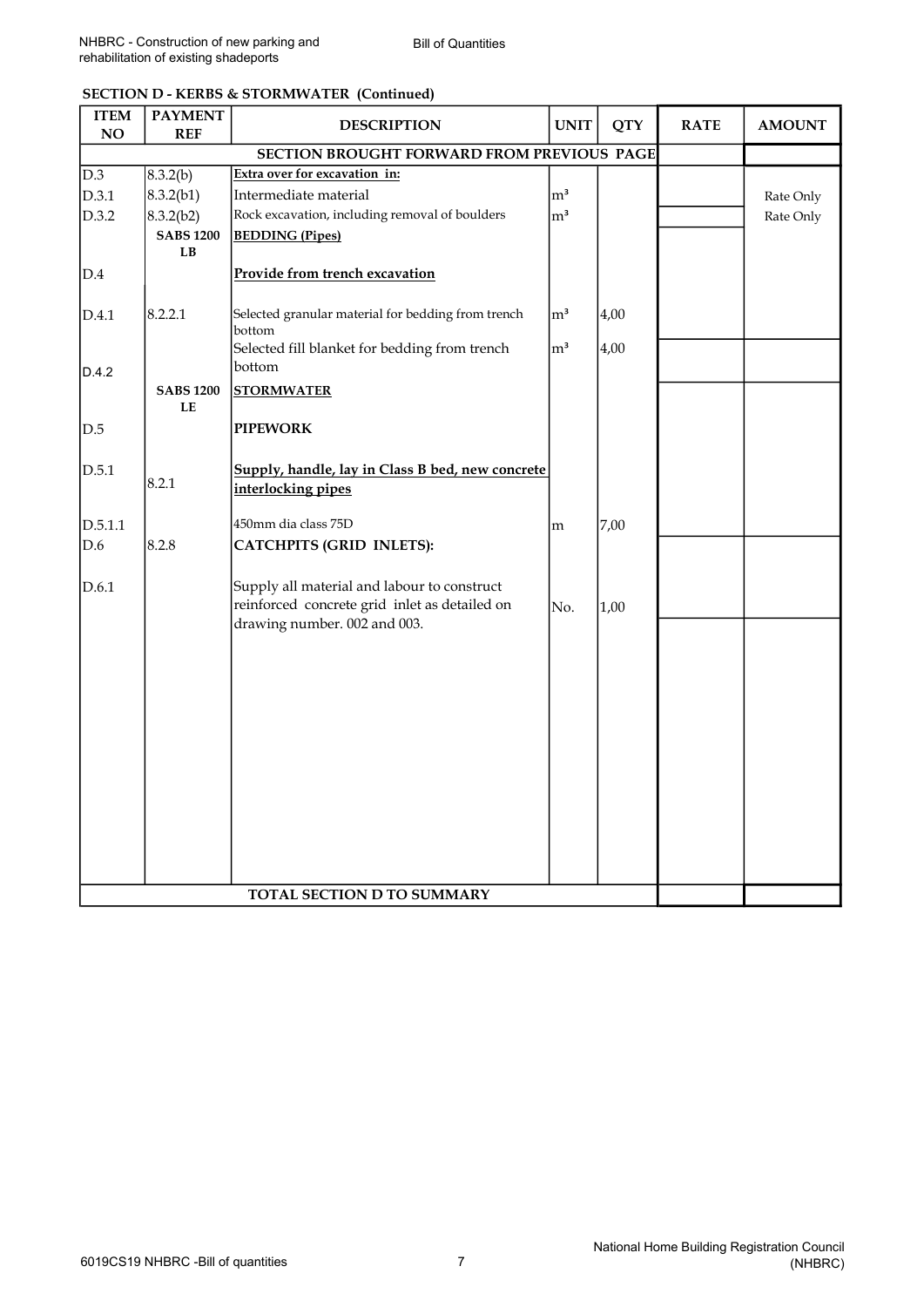| <b>SECTION D - KERBS &amp; STORMWATER (Continued)</b> |  |
|-------------------------------------------------------|--|
|-------------------------------------------------------|--|

| <b>ITEM</b><br>NO | <b>PAYMENT</b><br><b>REF</b>               | <b>DESCRIPTION</b>                                      | <b>UNIT</b>    | <b>QTY</b> | <b>RATE</b> | <b>AMOUNT</b> |
|-------------------|--------------------------------------------|---------------------------------------------------------|----------------|------------|-------------|---------------|
|                   | SECTION BROUGHT FORWARD FROM PREVIOUS PAGE |                                                         |                |            |             |               |
| D.3               | 8.3.2(b)                                   | Extra over for excavation in:                           |                |            |             |               |
| D.3.1             | 8.3.2(b1)                                  | Intermediate material                                   | m <sup>3</sup> |            |             | Rate Only     |
| D.3.2             | 8.3.2(b2)                                  | Rock excavation, including removal of boulders          | m <sup>3</sup> |            |             | Rate Only     |
|                   | <b>SABS 1200</b>                           | <b>BEDDING</b> (Pipes)                                  |                |            |             |               |
|                   | LB                                         |                                                         |                |            |             |               |
| D.4               |                                            | Provide from trench excavation                          |                |            |             |               |
|                   |                                            |                                                         |                |            |             |               |
| D.4.1             | 8.2.2.1                                    | Selected granular material for bedding from trench      | m <sup>3</sup> | 4,00       |             |               |
|                   |                                            | bottom<br>Selected fill blanket for bedding from trench | m <sup>3</sup> | 4,00       |             |               |
| D.4.2             |                                            | bottom                                                  |                |            |             |               |
|                   | <b>SABS 1200</b>                           | <b>STORMWATER</b>                                       |                |            |             |               |
|                   | LE                                         |                                                         |                |            |             |               |
| D.5               |                                            | <b>PIPEWORK</b>                                         |                |            |             |               |
|                   |                                            |                                                         |                |            |             |               |
| D.5.1             |                                            | Supply, handle, lay in Class B bed, new concrete        |                |            |             |               |
|                   | 8.2.1                                      | interlocking pipes                                      |                |            |             |               |
|                   |                                            |                                                         |                |            |             |               |
| D.5.1.1           |                                            | 450mm dia class 75D                                     | m              | 7,00       |             |               |
| D.6               | 8.2.8                                      | <b>CATCHPITS (GRID INLETS):</b>                         |                |            |             |               |
| D.6.1             |                                            | Supply all material and labour to construct             |                |            |             |               |
|                   |                                            | reinforced concrete grid inlet as detailed on           | No.            | 1,00       |             |               |
|                   |                                            | drawing number. 002 and 003.                            |                |            |             |               |
|                   |                                            |                                                         |                |            |             |               |
|                   |                                            |                                                         |                |            |             |               |
|                   |                                            |                                                         |                |            |             |               |
|                   |                                            |                                                         |                |            |             |               |
|                   |                                            |                                                         |                |            |             |               |
|                   |                                            |                                                         |                |            |             |               |
|                   |                                            |                                                         |                |            |             |               |
|                   |                                            |                                                         |                |            |             |               |
|                   |                                            |                                                         |                |            |             |               |
|                   |                                            |                                                         |                |            |             |               |
|                   |                                            |                                                         |                |            |             |               |
|                   |                                            |                                                         |                |            |             |               |
|                   |                                            | <b>TOTAL SECTION D TO SUMMARY</b>                       |                |            |             |               |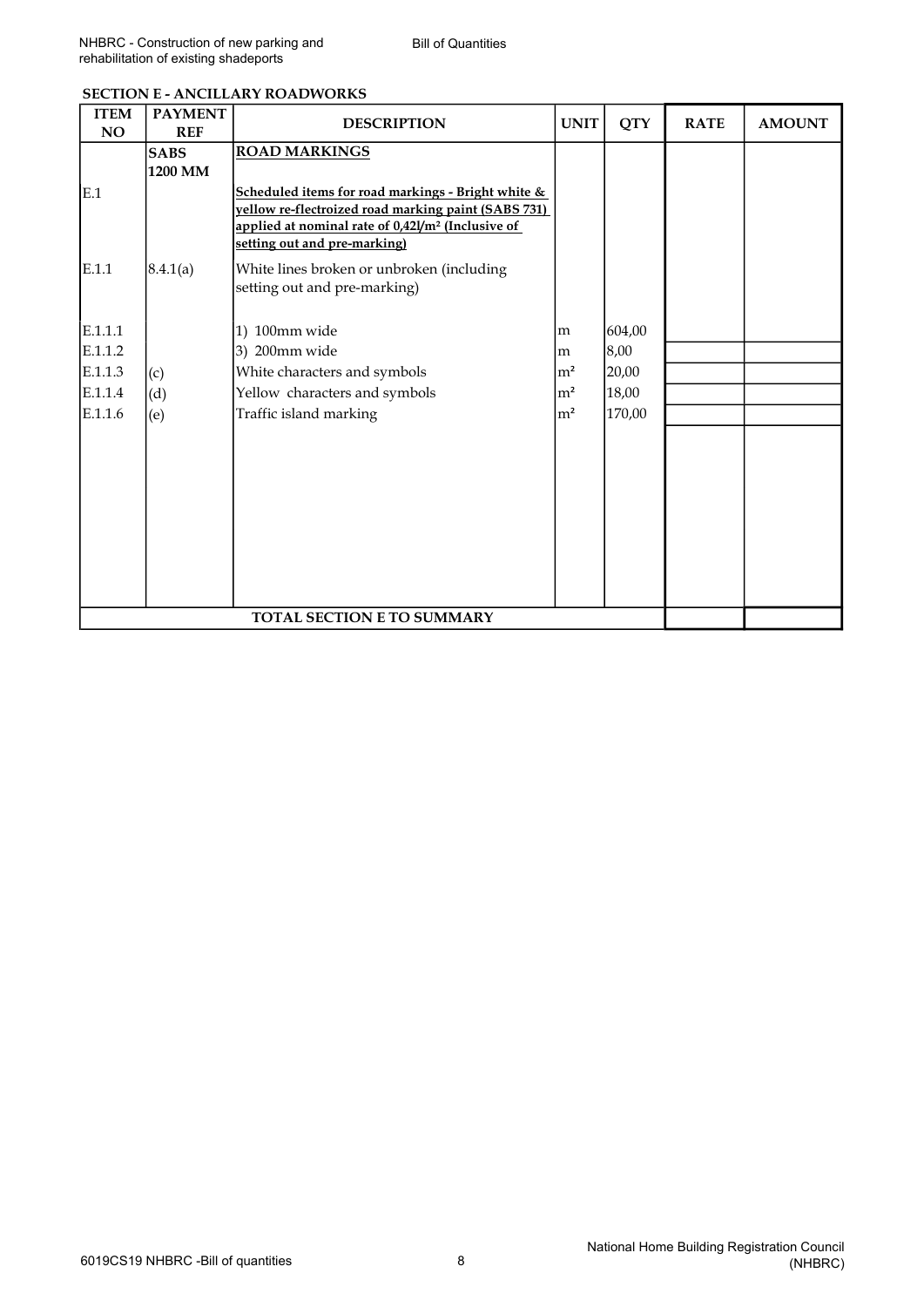| <b>ITEM</b><br><b>NO</b> | <b>PAYMENT</b><br><b>REF</b> | <b>DESCRIPTION</b>                                                                                                                                                                                         | <b>UNIT</b>    | <b>QTY</b> | <b>RATE</b> | <b>AMOUNT</b> |
|--------------------------|------------------------------|------------------------------------------------------------------------------------------------------------------------------------------------------------------------------------------------------------|----------------|------------|-------------|---------------|
|                          | <b>SABS</b>                  | <b>ROAD MARKINGS</b>                                                                                                                                                                                       |                |            |             |               |
|                          | 1200 MM                      |                                                                                                                                                                                                            |                |            |             |               |
| E.1                      |                              | Scheduled items for road markings - Bright white &<br>vellow re-flectroized road marking paint (SABS 731)<br>applied at nominal rate of 0,42l/m <sup>2</sup> (Inclusive of<br>setting out and pre-marking) |                |            |             |               |
| E.1.1                    | 8.4.1(a)                     | White lines broken or unbroken (including<br>setting out and pre-marking)                                                                                                                                  |                |            |             |               |
| E.1.1.1                  |                              | 1) 100mm wide                                                                                                                                                                                              | m              | 604,00     |             |               |
| E.1.1.2                  |                              | 3) 200mm wide                                                                                                                                                                                              | m              | 8,00       |             |               |
| E.1.1.3                  | (c)                          | White characters and symbols                                                                                                                                                                               | $\rm{m}^2$     | 20,00      |             |               |
| E.1.1.4                  | (d)                          | Yellow characters and symbols                                                                                                                                                                              | m <sup>2</sup> | 18,00      |             |               |
| E.1.1.6                  | (e)                          | Traffic island marking                                                                                                                                                                                     | m <sup>2</sup> | 170,00     |             |               |
|                          |                              |                                                                                                                                                                                                            |                |            |             |               |
|                          |                              | <b>TOTAL SECTION E TO SUMMARY</b>                                                                                                                                                                          |                |            |             |               |

#### SECTION E - ANCILLARY ROADWORKS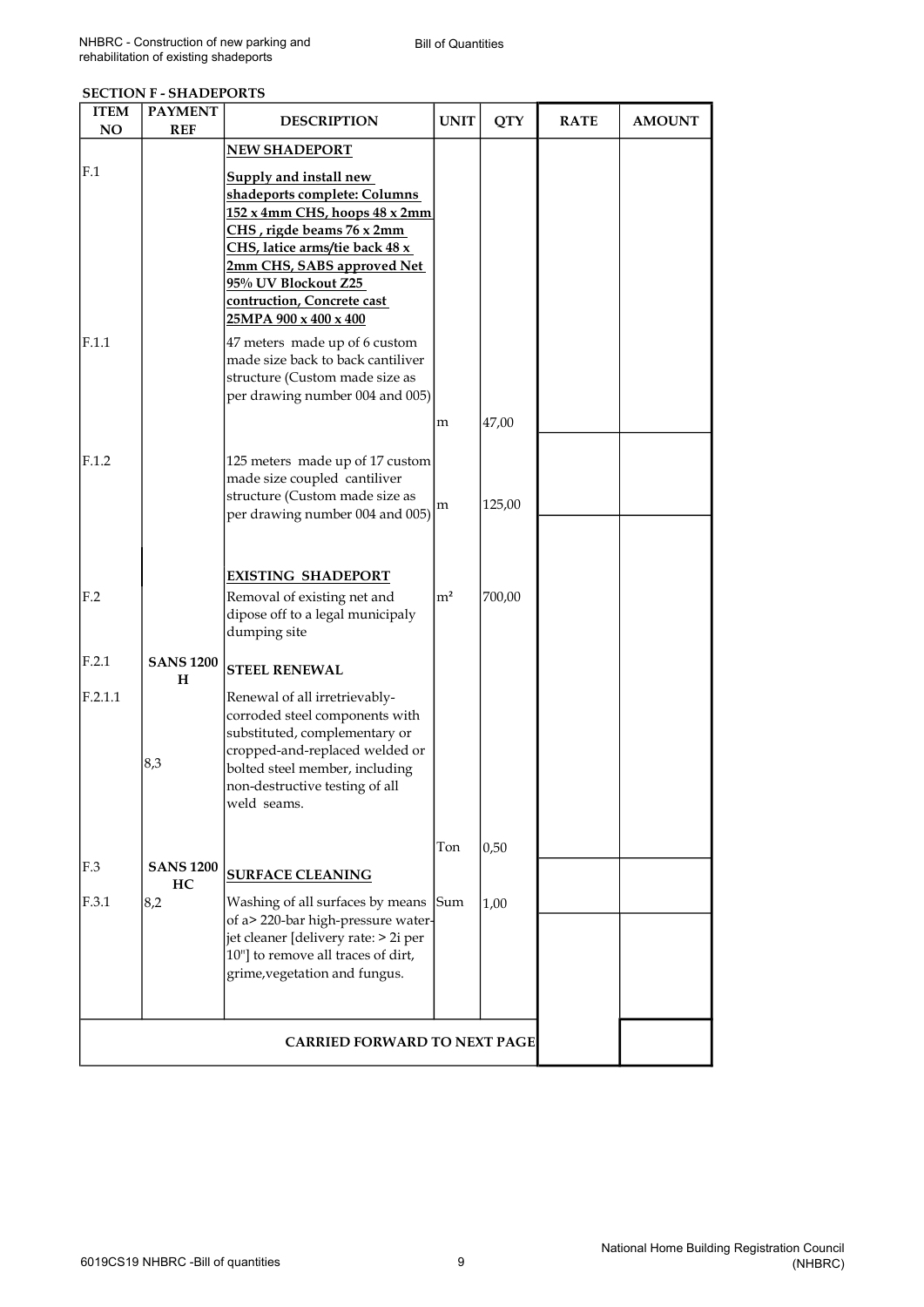#### SECTION F - SHADEPORTS

| <b>ITEM</b>     | <b>PAYMENT</b>        | <b>DESCRIPTION</b>                                                                                                                                                                                                    | <b>UNIT</b>    | <b>QTY</b> | <b>RATE</b> | <b>AMOUNT</b> |
|-----------------|-----------------------|-----------------------------------------------------------------------------------------------------------------------------------------------------------------------------------------------------------------------|----------------|------------|-------------|---------------|
| <b>NO</b>       | <b>REF</b>            |                                                                                                                                                                                                                       |                |            |             |               |
| F.1             |                       | <b>NEW SHADEPORT</b><br><b>Supply and install new</b><br>shadeports complete: Columns<br>152 x 4mm CHS, hoops 48 x 2mm                                                                                                |                |            |             |               |
|                 |                       | CHS, rigde beams 76 x 2mm<br>CHS, latice arms/tie back 48 x<br>2mm CHS, SABS approved Net<br>95% UV Blockout Z25<br>contruction, Concrete cast                                                                        |                |            |             |               |
| F.1.1           |                       | 25MPA 900 x 400 x 400<br>47 meters made up of 6 custom<br>made size back to back cantiliver                                                                                                                           |                |            |             |               |
|                 |                       | structure (Custom made size as<br>per drawing number 004 and 005)                                                                                                                                                     |                |            |             |               |
|                 |                       |                                                                                                                                                                                                                       | m              | 47,00      |             |               |
| F.1.2           |                       | 125 meters made up of 17 custom<br>made size coupled cantiliver<br>structure (Custom made size as                                                                                                                     | m              | 125,00     |             |               |
|                 |                       | per drawing number 004 and 005)                                                                                                                                                                                       |                |            |             |               |
| F <sub>.2</sub> |                       | <b>EXISTING SHADEPORT</b><br>Removal of existing net and<br>dipose off to a legal municipaly<br>dumping site                                                                                                          | m <sup>2</sup> | 700,00     |             |               |
| F.2.1           | <b>SANS 1200</b><br>н | <b>STEEL RENEWAL</b>                                                                                                                                                                                                  |                |            |             |               |
| F.2.1.1         | 8,3                   | Renewal of all irretrievably-<br>corroded steel components with<br>substituted, complementary or<br>cropped-and-replaced welded or<br>bolted steel member, including<br>non-destructive testing of all<br>weld seams. |                |            |             |               |
| F.3             | <b>SANS 1200</b>      | <b>SURFACE CLEANING</b>                                                                                                                                                                                               | Ton            | 0,50       |             |               |
| F.3.1           | HC.<br>8,2            | Washing of all surfaces by means<br>of a> 220-bar high-pressure water-<br>jet cleaner [delivery rate: > 2i per<br>10"] to remove all traces of dirt,<br>grime, vegetation and fungus.                                 | Sum            | 1,00       |             |               |
|                 |                       | <b>CARRIED FORWARD TO NEXT PAGE</b>                                                                                                                                                                                   |                |            |             |               |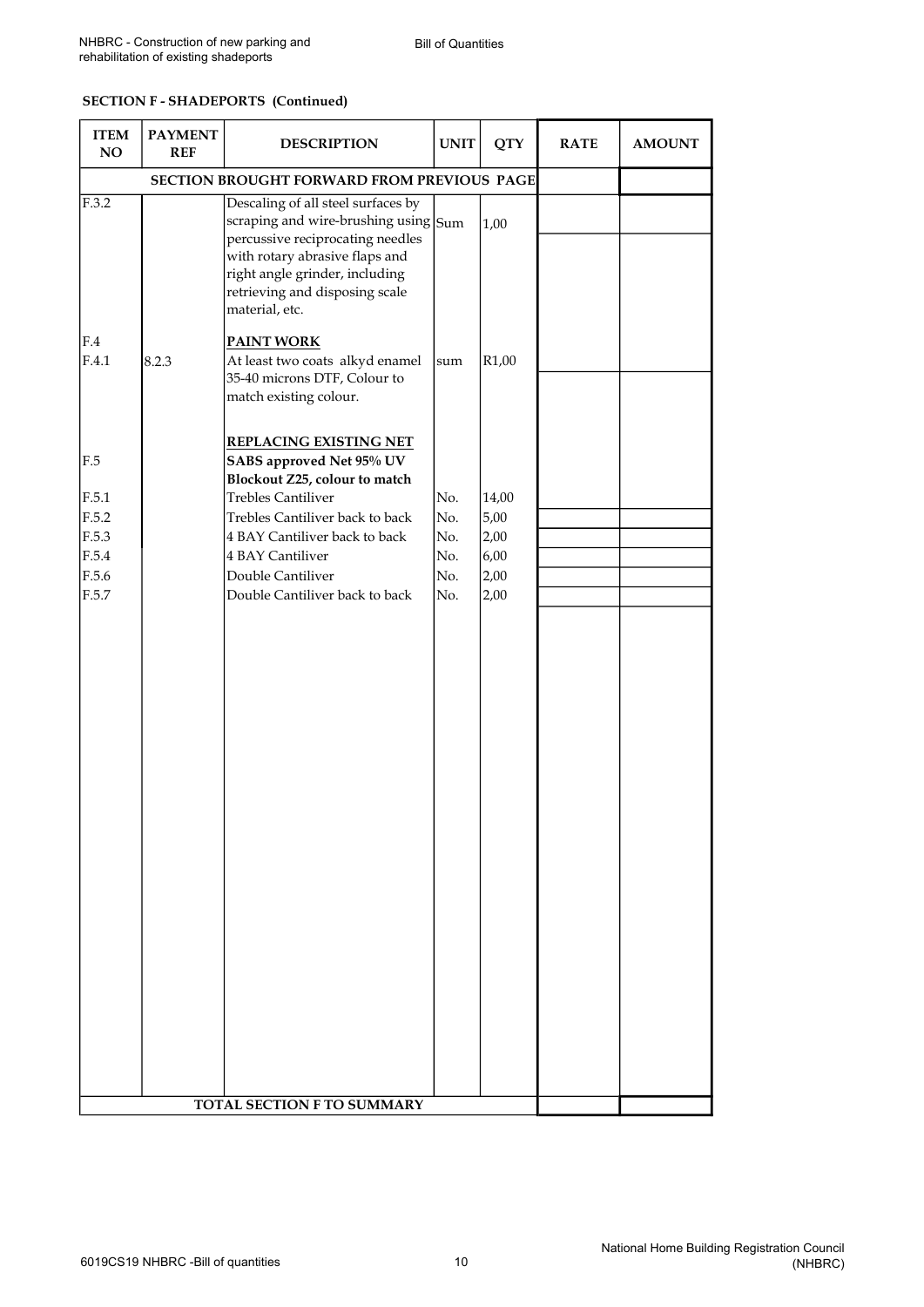#### SECTION F - SHADEPORTS (Continued)

| <b>ITEM</b><br>NO                                         | <b>PAYMENT</b><br><b>REF</b> | <b>DESCRIPTION</b>                                                                                                                                                                                                                                                     | <b>UNIT</b>                            | <b>QTY</b>                                    | <b>RATE</b> | <b>AMOUNT</b> |
|-----------------------------------------------------------|------------------------------|------------------------------------------------------------------------------------------------------------------------------------------------------------------------------------------------------------------------------------------------------------------------|----------------------------------------|-----------------------------------------------|-------------|---------------|
| SECTION BROUGHT FORWARD FROM PREVIOUS PAGE                |                              |                                                                                                                                                                                                                                                                        |                                        |                                               |             |               |
| F.3.2                                                     |                              | Descaling of all steel surfaces by<br>scraping and wire-brushing using Sum<br>percussive reciprocating needles<br>with rotary abrasive flaps and<br>right angle grinder, including<br>retrieving and disposing scale<br>material, etc.                                 |                                        | 1,00                                          |             |               |
| F.4<br>F.4.1                                              | 8.2.3                        | <b>PAINT WORK</b><br>At least two coats alkyd enamel<br>35-40 microns DTF, Colour to<br>match existing colour.                                                                                                                                                         | sum                                    | R <sub>1</sub> ,00                            |             |               |
| F.5<br>F.5.1<br>F.5.2<br>F.5.3<br>F.5.4<br>F.5.6<br>F.5.7 |                              | <b>REPLACING EXISTING NET</b><br>SABS approved Net 95% UV<br>Blockout Z25, colour to match<br><b>Trebles Cantiliver</b><br>Trebles Cantiliver back to back<br>4 BAY Cantiliver back to back<br>4 BAY Cantiliver<br>Double Cantiliver<br>Double Cantiliver back to back | No.<br>No.<br>No.<br>No.<br>No.<br>No. | 14,00<br>5,00<br>2,00<br>6,00<br>2,00<br>2,00 |             |               |
| TOTAL SECTION F TO SUMMARY                                |                              |                                                                                                                                                                                                                                                                        |                                        |                                               |             |               |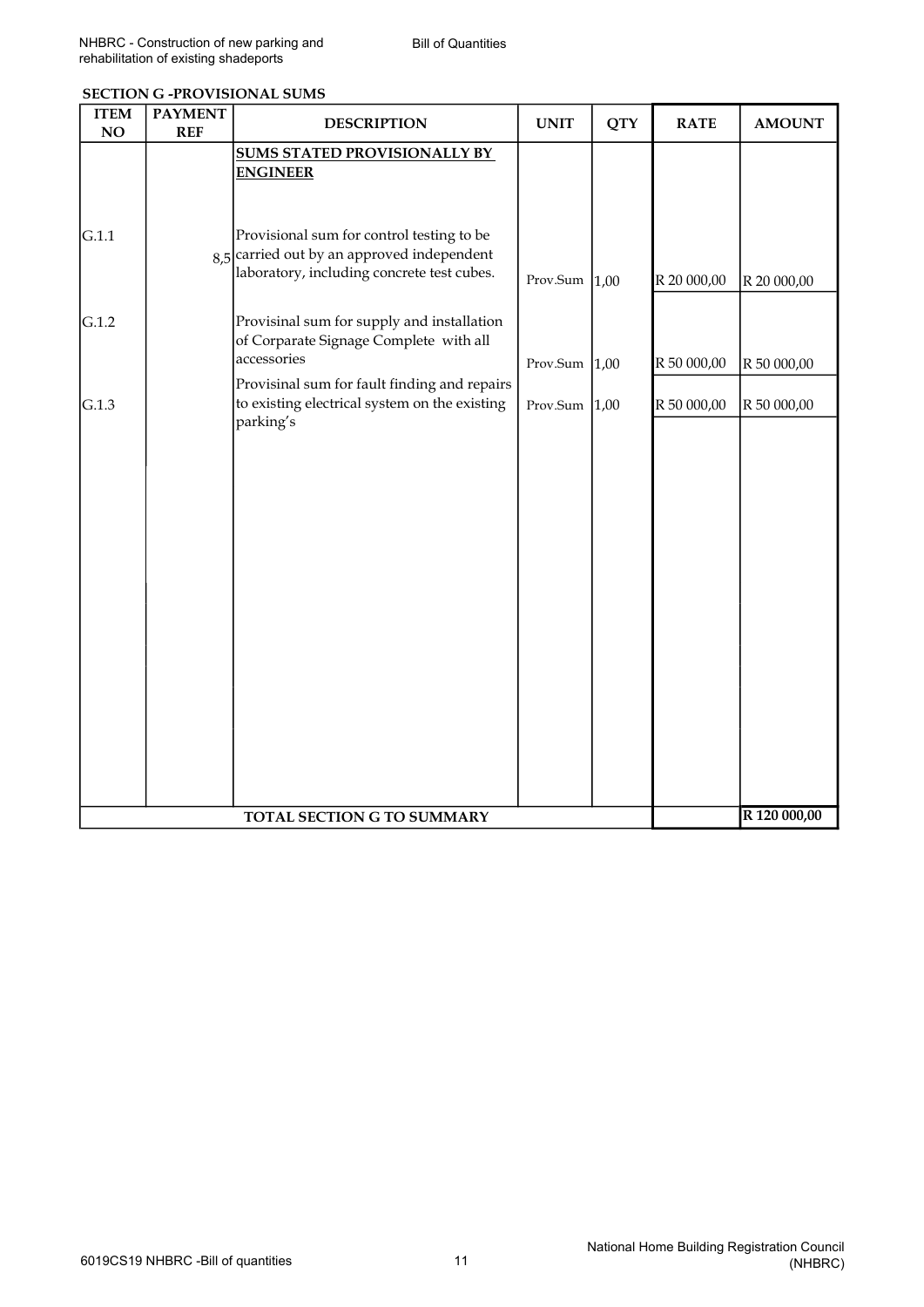| <b>ITEM</b><br>NO          | <b>PAYMENT</b><br><b>REF</b> | <b>DESCRIPTION</b>                                                                                                                      | <b>UNIT</b>      | <b>QTY</b> | <b>RATE</b> | <b>AMOUNT</b> |
|----------------------------|------------------------------|-----------------------------------------------------------------------------------------------------------------------------------------|------------------|------------|-------------|---------------|
|                            |                              | <b>SUMS STATED PROVISIONALLY BY</b><br><b>ENGINEER</b>                                                                                  |                  |            |             |               |
| G.1.1                      |                              | Provisional sum for control testing to be<br>$8,5$ carried out by an approved independent<br>laboratory, including concrete test cubes. | Prov.Sum         | 1,00       | R 20 000,00 | R 20 000,00   |
| G.1.2                      |                              | Provisinal sum for supply and installation<br>of Corparate Signage Complete with all<br>accessories                                     | Prov.Sum $ 1,00$ |            | R 50 000,00 | R 50 000,00   |
| G.1.3                      |                              | Provisinal sum for fault finding and repairs<br>to existing electrical system on the existing<br>parking's                              | Prov.Sum $ 1,00$ |            | R 50 000,00 | R 50 000,00   |
|                            |                              |                                                                                                                                         |                  |            |             |               |
|                            |                              |                                                                                                                                         |                  |            |             |               |
|                            |                              |                                                                                                                                         |                  |            |             |               |
|                            |                              |                                                                                                                                         |                  |            |             |               |
|                            |                              |                                                                                                                                         |                  |            |             |               |
| TOTAL SECTION G TO SUMMARY |                              |                                                                                                                                         |                  |            |             | R 120 000,00  |

### SECTION G -PROVISIONAL SUMS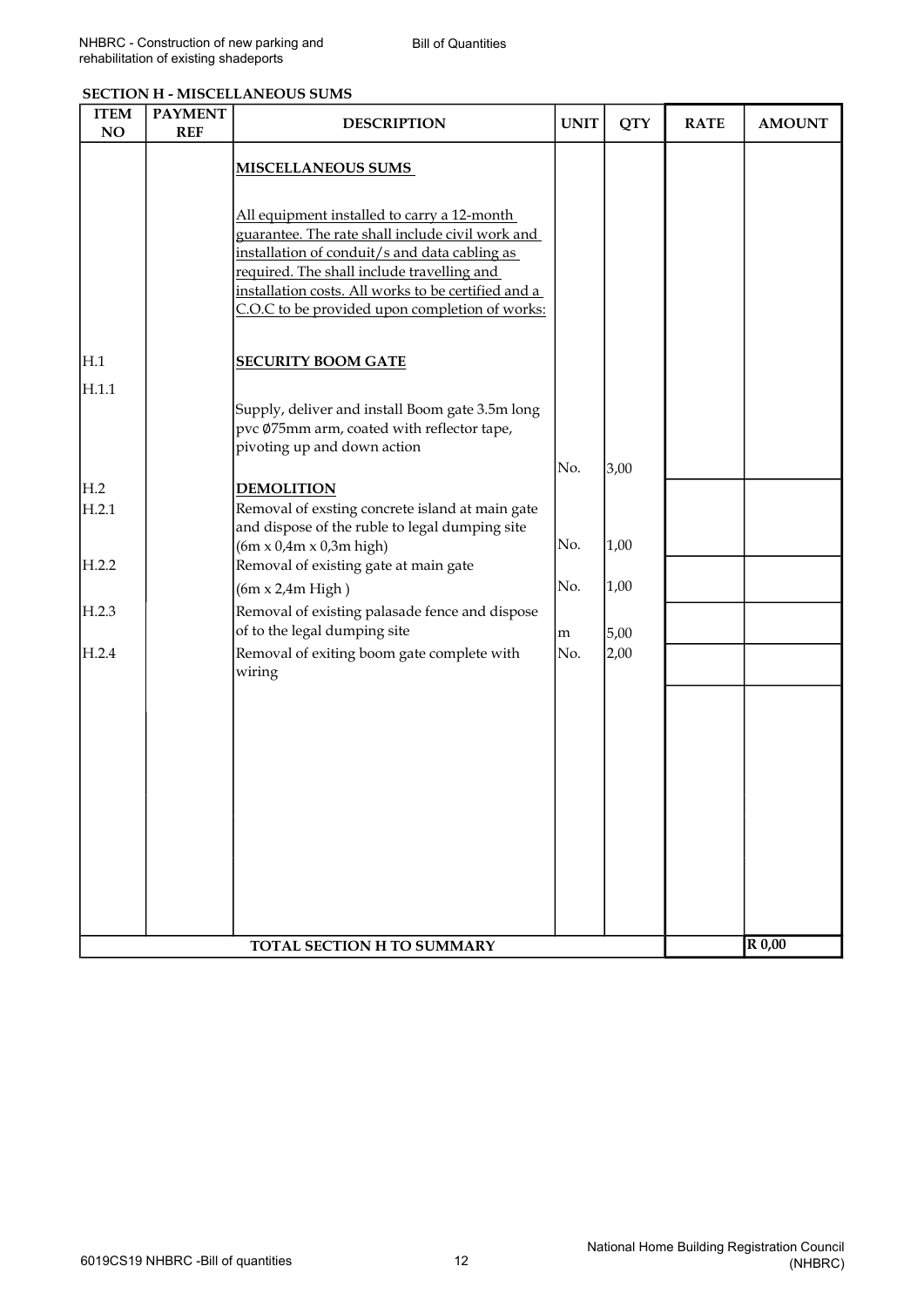|  | <b>SECTION H - MISCELLANEOUS SUMS</b> |  |
|--|---------------------------------------|--|
|--|---------------------------------------|--|

| <b>ITEM</b><br>NO          | <b>PAYMENT</b><br><b>REF</b> | <b>DESCRIPTION</b>                                                                                                                                                                                                                                                                                      | <b>UNIT</b> | <b>QTY</b> | <b>RATE</b> | <b>AMOUNT</b> |
|----------------------------|------------------------------|---------------------------------------------------------------------------------------------------------------------------------------------------------------------------------------------------------------------------------------------------------------------------------------------------------|-------------|------------|-------------|---------------|
|                            |                              | <b>MISCELLANEOUS SUMS</b>                                                                                                                                                                                                                                                                               |             |            |             |               |
|                            |                              | All equipment installed to carry a 12-month<br>guarantee. The rate shall include civil work and<br>installation of conduit/s and data cabling as<br>required. The shall include travelling and<br>installation costs. All works to be certified and a<br>C.O.C to be provided upon completion of works: |             |            |             |               |
| H.1                        |                              | <b>SECURITY BOOM GATE</b>                                                                                                                                                                                                                                                                               |             |            |             |               |
| H.1.1                      |                              | Supply, deliver and install Boom gate 3.5m long<br>pvc Ø75mm arm, coated with reflector tape,<br>pivoting up and down action                                                                                                                                                                            |             |            |             |               |
| H.2                        |                              | <b>DEMOLITION</b>                                                                                                                                                                                                                                                                                       | No.         | 3,00       |             |               |
| H.2.1                      |                              | Removal of exsting concrete island at main gate<br>and dispose of the ruble to legal dumping site<br>$(6m \times 0.4m \times 0.3m$ high)                                                                                                                                                                | No.         | 1,00       |             |               |
| H.2.2                      |                              | Removal of existing gate at main gate<br>$(6m \times 2.4m$ High)                                                                                                                                                                                                                                        | No.         | 1,00       |             |               |
| H.2.3                      |                              | Removal of existing palasade fence and dispose<br>of to the legal dumping site                                                                                                                                                                                                                          | m           | 5,00       |             |               |
| H.2.4                      |                              | Removal of exiting boom gate complete with<br>wiring                                                                                                                                                                                                                                                    | No.         | 2,00       |             |               |
|                            |                              |                                                                                                                                                                                                                                                                                                         |             |            |             |               |
|                            |                              |                                                                                                                                                                                                                                                                                                         |             |            |             |               |
|                            |                              |                                                                                                                                                                                                                                                                                                         |             |            |             |               |
|                            |                              |                                                                                                                                                                                                                                                                                                         |             |            |             |               |
|                            |                              |                                                                                                                                                                                                                                                                                                         |             |            |             |               |
| TOTAL SECTION H TO SUMMARY |                              |                                                                                                                                                                                                                                                                                                         |             |            |             | R 0,00        |